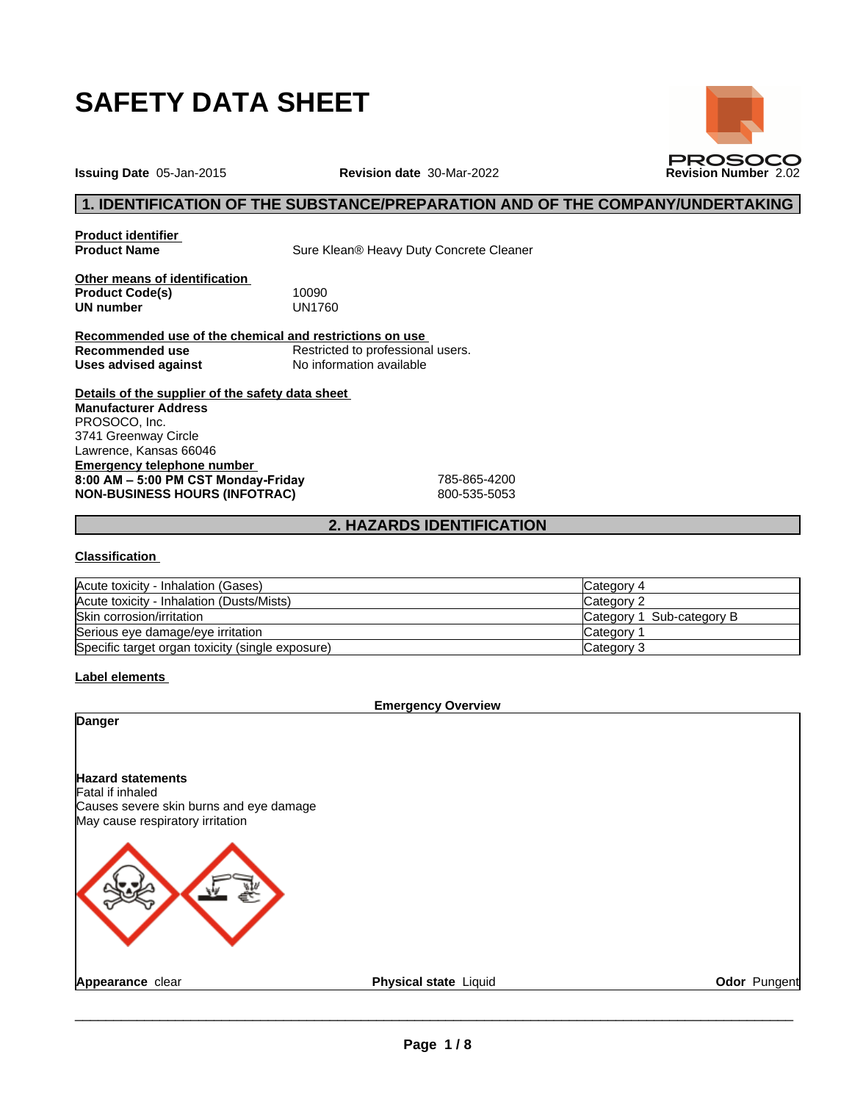

**PROSOCO** 

**Issuing Date** 05-Jan-2015 **Revision date** 30-Mar-2022 **Revision Number** 2.02

## **1. IDENTIFICATION OF THE SUBSTANCE/PREPARATION AND OF THE COMPANY/UNDERTAKING**

**Product identifier**

**Sure Klean® Heavy Duty Concrete Cleaner** 

**Other means of identification Product Code(s)** 10090<br> **UN number** UN1760 **UN number** 

**Recommended use of the chemical and restrictions on use Recommended use**<br> **Uses advised against**<br> **No information available Uses** advised against

**Details of the supplier of the safety data sheet Emergency telephone number 8:00AM–5:00PMCSTMonday-Friday** 785-865-4200 **NON-BUSINESS HOURS (INFOTRAC)** 800-535-5053 **Manufacturer Address** PROSOCO, Inc. 3741 Greenway Circle Lawrence, Kansas 66046

## **2. HAZARDS IDENTIFICATION**

#### **Classification**

| Acute toxicity - Inhalation (Gases)              | Category 4                |
|--------------------------------------------------|---------------------------|
| Acute toxicity - Inhalation (Dusts/Mists)        | Category 2                |
| Skin corrosion/irritation                        | Category 1 Sub-category B |
| Serious eye damage/eye irritation                | Category                  |
| Specific target organ toxicity (single exposure) | Category 3                |

## **Label elements**

| Physical state Liquid<br>Odor Pungent |
|---------------------------------------|
|                                       |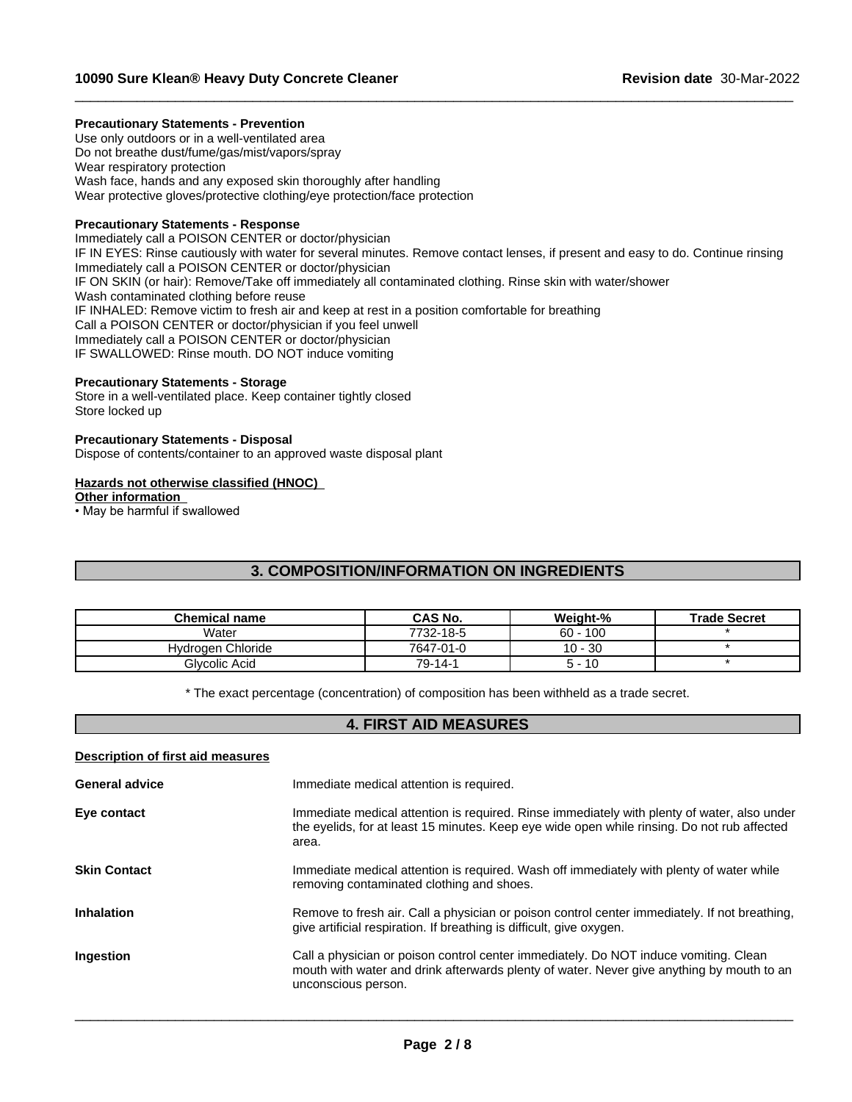#### **Precautionary Statements - Prevention**

Use only outdoors or in a well-ventilated area Do not breathe dust/fume/gas/mist/vapors/spray Wear respiratory protection Wash face, hands and any exposed skin thoroughly after handling Wear protective gloves/protective clothing/eye protection/face protection

#### **Precautionary Statements - Response**

Immediately call a POISON CENTER or doctor/physician IF IN EYES: Rinse cautiously with water for several minutes. Remove contact lenses, if present and easy to do. Continue rinsing Immediately call a POISON CENTER or doctor/physician IF ON SKIN (or hair): Remove/Take off immediately all contaminated clothing. Rinse skin with water/shower Wash contaminated clothing before reuse IF INHALED: Remove victim to fresh air and keep at rest in a position comfortable for breathing Call a POISON CENTER or doctor/physician if you feel unwell Immediately call a POISON CENTER or doctor/physician IF SWALLOWED: Rinse mouth. DO NOT induce vomiting

 $\_$  ,  $\_$  ,  $\_$  ,  $\_$  ,  $\_$  ,  $\_$  ,  $\_$  ,  $\_$  ,  $\_$  ,  $\_$  ,  $\_$  ,  $\_$  ,  $\_$  ,  $\_$  ,  $\_$  ,  $\_$  ,  $\_$  ,  $\_$  ,  $\_$  ,  $\_$  ,  $\_$  ,  $\_$  ,  $\_$  ,  $\_$  ,  $\_$  ,  $\_$  ,  $\_$  ,  $\_$  ,  $\_$  ,  $\_$  ,  $\_$  ,  $\_$  ,  $\_$  ,  $\_$  ,  $\_$  ,  $\_$  ,  $\_$  ,

#### **Precautionary Statements - Storage**

Store in a well-ventilated place. Keep container tightly closed Store locked up

#### **Precautionary Statements - Disposal**

Dispose of contents/container to an approved waste disposal plant

#### **Hazards not otherwise classified (HNOC)**

**Other information**

 $\cdot$  May be harmful if swallowed

## **3. COMPOSITION/INFORMATION ON INGREDIENTS**

| Chemical name     | <b>CAS No.</b> | Weiaht-%   | <b>Trade Secret</b> |
|-------------------|----------------|------------|---------------------|
| Water             | 7732-18-5      | $60 - 100$ |                     |
| Hydrogen Chloride | 7647-01-0      | $10 - 30$  |                     |
| Glvcolic Acid     | 79-14-1        | 10<br>ה ה  |                     |

\* The exact percentage (concentration) of composition has been withheld as a trade secret.

## **4. FIRST AID MEASURES**

### **Description of first aid measures**

| Immediate medical attention is required.<br><b>General advice</b> |                                                                                                                                                                                                          |
|-------------------------------------------------------------------|----------------------------------------------------------------------------------------------------------------------------------------------------------------------------------------------------------|
| Eye contact                                                       | Immediate medical attention is required. Rinse immediately with plenty of water, also under<br>the eyelids, for at least 15 minutes. Keep eye wide open while rinsing. Do not rub affected<br>area.      |
| <b>Skin Contact</b>                                               | Immediate medical attention is required. Wash off immediately with plenty of water while<br>removing contaminated clothing and shoes.                                                                    |
| <b>Inhalation</b>                                                 | Remove to fresh air. Call a physician or poison control center immediately. If not breathing,<br>give artificial respiration. If breathing is difficult, give oxygen.                                    |
| Ingestion                                                         | Call a physician or poison control center immediately. Do NOT induce vomiting. Clean<br>mouth with water and drink afterwards plenty of water. Never give anything by mouth to an<br>unconscious person. |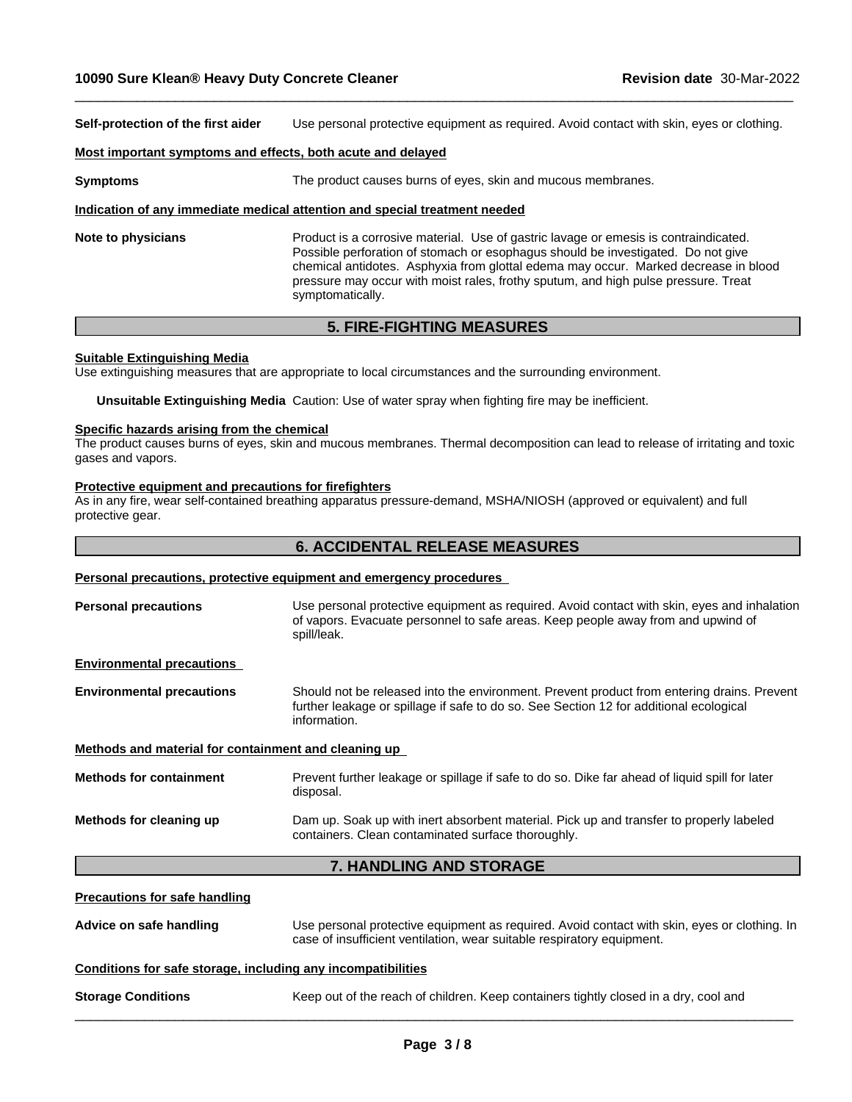**Self-protection of the first aider** Use personal protective equipment as required. Avoid contact with skin, eyes or clothing.

 $\_$  ,  $\_$  ,  $\_$  ,  $\_$  ,  $\_$  ,  $\_$  ,  $\_$  ,  $\_$  ,  $\_$  ,  $\_$  ,  $\_$  ,  $\_$  ,  $\_$  ,  $\_$  ,  $\_$  ,  $\_$  ,  $\_$  ,  $\_$  ,  $\_$  ,  $\_$  ,  $\_$  ,  $\_$  ,  $\_$  ,  $\_$  ,  $\_$  ,  $\_$  ,  $\_$  ,  $\_$  ,  $\_$  ,  $\_$  ,  $\_$  ,  $\_$  ,  $\_$  ,  $\_$  ,  $\_$  ,  $\_$  ,  $\_$  ,

#### **Most important symptoms and effects, both acute and delayed**

**Symptoms** The product causes burns of eyes, skin and mucous membranes.

#### **Indication of any immediate medical attention and special treatment needed**

**Note to physicians** Product is a corrosive material. Use of gastric lavage or emesis is contraindicated. Possible perforation of stomach or esophagus should be investigated. Do not give chemical antidotes. Asphyxia from glottal edema may occur. Marked decrease in blood pressure may occur with moist rales, frothy sputum, and high pulse pressure. Treat symptomatically.

## **5. FIRE-FIGHTING MEASURES**

#### **Suitable Extinguishing Media**

Use extinguishing measures that are appropriate to local circumstances and the surrounding environment.

**Unsuitable Extinguishing Media** Caution: Use of water spray when fighting fire may be inefficient.

#### **Specific hazards arising from the chemical**

The product causes burns of eyes, skin and mucous membranes. Thermal decomposition can lead to release of irritating and toxic gases and vapors.

#### **Protective equipment and precautions for firefighters**

As in any fire, wear self-contained breathing apparatus pressure-demand, MSHA/NIOSH (approved or equivalent) and full protective gear.

## **6. ACCIDENTAL RELEASE MEASURES**

#### **Personal precautions, protective equipment and emergency procedures**

| <b>Personal precautions</b> | Use personal protective equipment as required. Avoid contact with skin, eyes and inhalation<br>of vapors. Evacuate personnel to safe areas. Keep people away from and upwind of |
|-----------------------------|---------------------------------------------------------------------------------------------------------------------------------------------------------------------------------|
|                             | spill/leak.                                                                                                                                                                     |
|                             |                                                                                                                                                                                 |

**Environmental precautions**

**Environmental precautions** Should not be released into the environment. Prevent product from entering drains. Prevent further leakage or spillage if safe to do so. See Section 12 for additional ecological information.

#### **Methods and material for containment and cleaning up**

| <b>Methods for containment</b> | Prevent further leakage or spillage if safe to do so. Dike far ahead of liquid spill for later<br>disposal.                                   |
|--------------------------------|-----------------------------------------------------------------------------------------------------------------------------------------------|
| Methods for cleaning up        | Dam up. Soak up with inert absorbent material. Pick up and transfer to properly labeled<br>containers. Clean contaminated surface thoroughly. |

## **7. HANDLING AND STORAGE**

| 7. HANDLING AND STORAGE              |                                                                                                                                                                        |  |  |  |
|--------------------------------------|------------------------------------------------------------------------------------------------------------------------------------------------------------------------|--|--|--|
| <b>Precautions for safe handling</b> |                                                                                                                                                                        |  |  |  |
| Advice on safe handling              | Use personal protective equipment as required. Avoid contact with skin, eyes or clothing. In<br>case of insufficient ventilation, wear suitable respiratory equipment. |  |  |  |
|                                      | Conditions for safe storage, including any incompatibilities                                                                                                           |  |  |  |
| <b>Storage Conditions</b>            | Keep out of the reach of children. Keep containers tightly closed in a dry, cool and                                                                                   |  |  |  |
|                                      |                                                                                                                                                                        |  |  |  |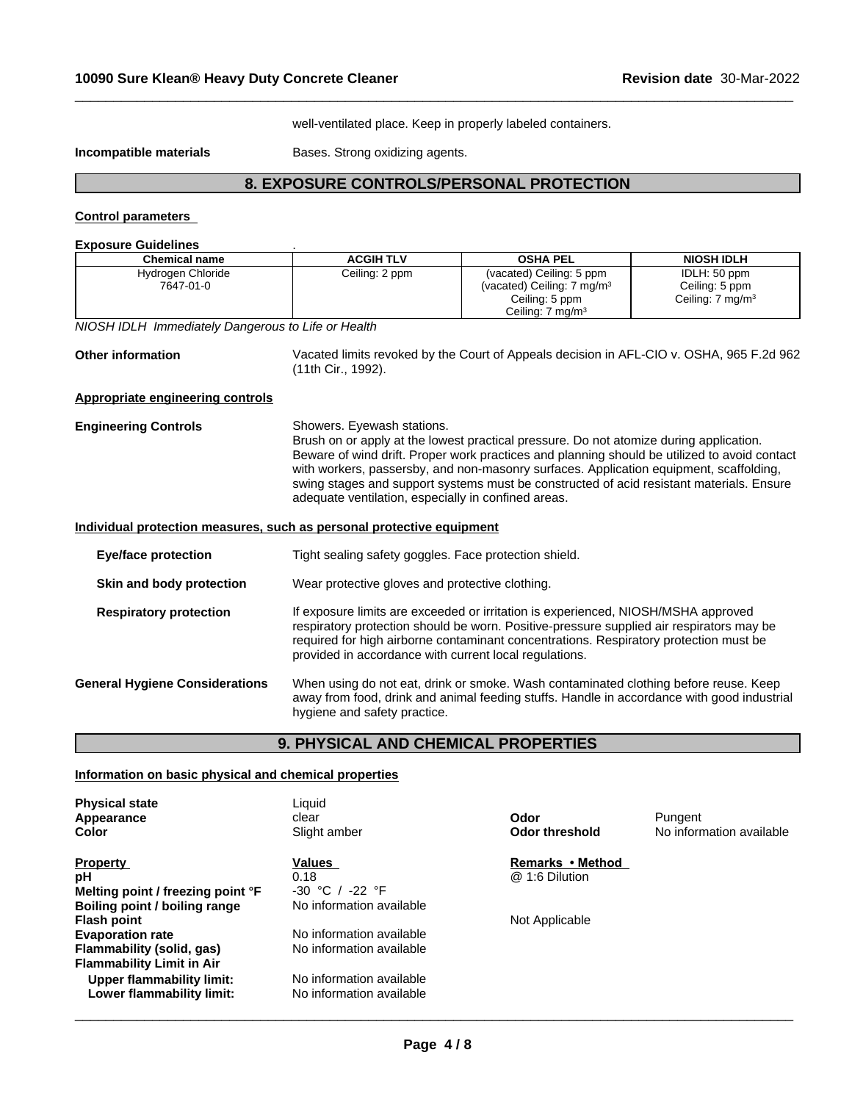well-ventilated place. Keep in properly labeled containers.

 $\_$  ,  $\_$  ,  $\_$  ,  $\_$  ,  $\_$  ,  $\_$  ,  $\_$  ,  $\_$  ,  $\_$  ,  $\_$  ,  $\_$  ,  $\_$  ,  $\_$  ,  $\_$  ,  $\_$  ,  $\_$  ,  $\_$  ,  $\_$  ,  $\_$  ,  $\_$  ,  $\_$  ,  $\_$  ,  $\_$  ,  $\_$  ,  $\_$  ,  $\_$  ,  $\_$  ,  $\_$  ,  $\_$  ,  $\_$  ,  $\_$  ,  $\_$  ,  $\_$  ,  $\_$  ,  $\_$  ,  $\_$  ,  $\_$  ,

**Incompatible materials Bases. Strong oxidizing agents.** 

# **8. EXPOSURE CONTROLS/PERSONAL PROTECTION**

## **Control parameters**

| <b>Exposure Guidelines</b> |  |
|----------------------------|--|
|                            |  |

| <b>Chemical name</b>                                                                                                                                                                                                                                        | <b>ACGIH TLV</b>                                                                                                                                                                                                                                                                                                                 | <b>OSHA PEL</b>                                                                                                                                                                                                                                                                    | <b>NIOSH IDLH</b>              |
|-------------------------------------------------------------------------------------------------------------------------------------------------------------------------------------------------------------------------------------------------------------|----------------------------------------------------------------------------------------------------------------------------------------------------------------------------------------------------------------------------------------------------------------------------------------------------------------------------------|------------------------------------------------------------------------------------------------------------------------------------------------------------------------------------------------------------------------------------------------------------------------------------|--------------------------------|
| Hydrogen Chloride<br>7647-01-0                                                                                                                                                                                                                              | Ceiling: 2 ppm                                                                                                                                                                                                                                                                                                                   | (vacated) Ceiling: 5 ppm<br>(vacated) Ceiling: 7 mg/m <sup>3</sup>                                                                                                                                                                                                                 | IDLH: 50 ppm<br>Ceiling: 5 ppm |
|                                                                                                                                                                                                                                                             |                                                                                                                                                                                                                                                                                                                                  | Ceiling: 5 ppm<br>Ceiling: $7 \text{ mg/m}^3$                                                                                                                                                                                                                                      | Ceiling: $7 \text{ mg/m}^3$    |
| NIOSH IDLH Immediately Dangerous to Life or Health                                                                                                                                                                                                          |                                                                                                                                                                                                                                                                                                                                  |                                                                                                                                                                                                                                                                                    |                                |
| <b>Other information</b>                                                                                                                                                                                                                                    | Vacated limits revoked by the Court of Appeals decision in AFL-CIO v. OSHA, 965 F.2d 962<br>(11th Cir., 1992).                                                                                                                                                                                                                   |                                                                                                                                                                                                                                                                                    |                                |
| Appropriate engineering controls                                                                                                                                                                                                                            |                                                                                                                                                                                                                                                                                                                                  |                                                                                                                                                                                                                                                                                    |                                |
| <b>Engineering Controls</b>                                                                                                                                                                                                                                 | Showers. Eyewash stations.<br>with workers, passersby, and non-masonry surfaces. Application equipment, scaffolding,<br>adequate ventilation, especially in confined areas.                                                                                                                                                      | Brush on or apply at the lowest practical pressure. Do not atomize during application.<br>Beware of wind drift. Proper work practices and planning should be utilized to avoid contact<br>swing stages and support systems must be constructed of acid resistant materials. Ensure |                                |
| Individual protection measures, such as personal protective equipment                                                                                                                                                                                       |                                                                                                                                                                                                                                                                                                                                  |                                                                                                                                                                                                                                                                                    |                                |
| <b>Eye/face protection</b>                                                                                                                                                                                                                                  | Tight sealing safety goggles. Face protection shield.                                                                                                                                                                                                                                                                            |                                                                                                                                                                                                                                                                                    |                                |
| Skin and body protection                                                                                                                                                                                                                                    | Wear protective gloves and protective clothing.                                                                                                                                                                                                                                                                                  |                                                                                                                                                                                                                                                                                    |                                |
| <b>Respiratory protection</b>                                                                                                                                                                                                                               | If exposure limits are exceeded or irritation is experienced, NIOSH/MSHA approved<br>respiratory protection should be worn. Positive-pressure supplied air respirators may be<br>required for high airborne contaminant concentrations. Respiratory protection must be<br>provided in accordance with current local regulations. |                                                                                                                                                                                                                                                                                    |                                |
| When using do not eat, drink or smoke. Wash contaminated clothing before reuse. Keep<br><b>General Hygiene Considerations</b><br>away from food, drink and animal feeding stuffs. Handle in accordance with good industrial<br>hygiene and safety practice. |                                                                                                                                                                                                                                                                                                                                  |                                                                                                                                                                                                                                                                                    |                                |

# **9. PHYSICAL AND CHEMICAL PROPERTIES**

### **Information on basic physical and chemical properties**

| <b>Physical state</b><br>Appearance                    | Liauid<br>clear                                      | Odor                  | Pungent                  |
|--------------------------------------------------------|------------------------------------------------------|-----------------------|--------------------------|
| Color                                                  | Slight amber                                         | <b>Odor threshold</b> | No information available |
| <b>Property</b>                                        | Values                                               | Remarks • Method      |                          |
| pН                                                     | 0.18                                                 | @ 1:6 Dilution        |                          |
| Melting point / freezing point °F                      | $-30 °C /$<br>-22 °F                                 |                       |                          |
| Boiling point / boiling range                          | No information available                             |                       |                          |
| Flash point                                            |                                                      | Not Applicable        |                          |
| <b>Evaporation rate</b>                                | No information available                             |                       |                          |
| Flammability (solid, gas)                              | No information available                             |                       |                          |
| Flammability Limit in Air                              |                                                      |                       |                          |
| Upper flammability limit:<br>Lower flammability limit: | No information available<br>No information available |                       |                          |
|                                                        |                                                      |                       |                          |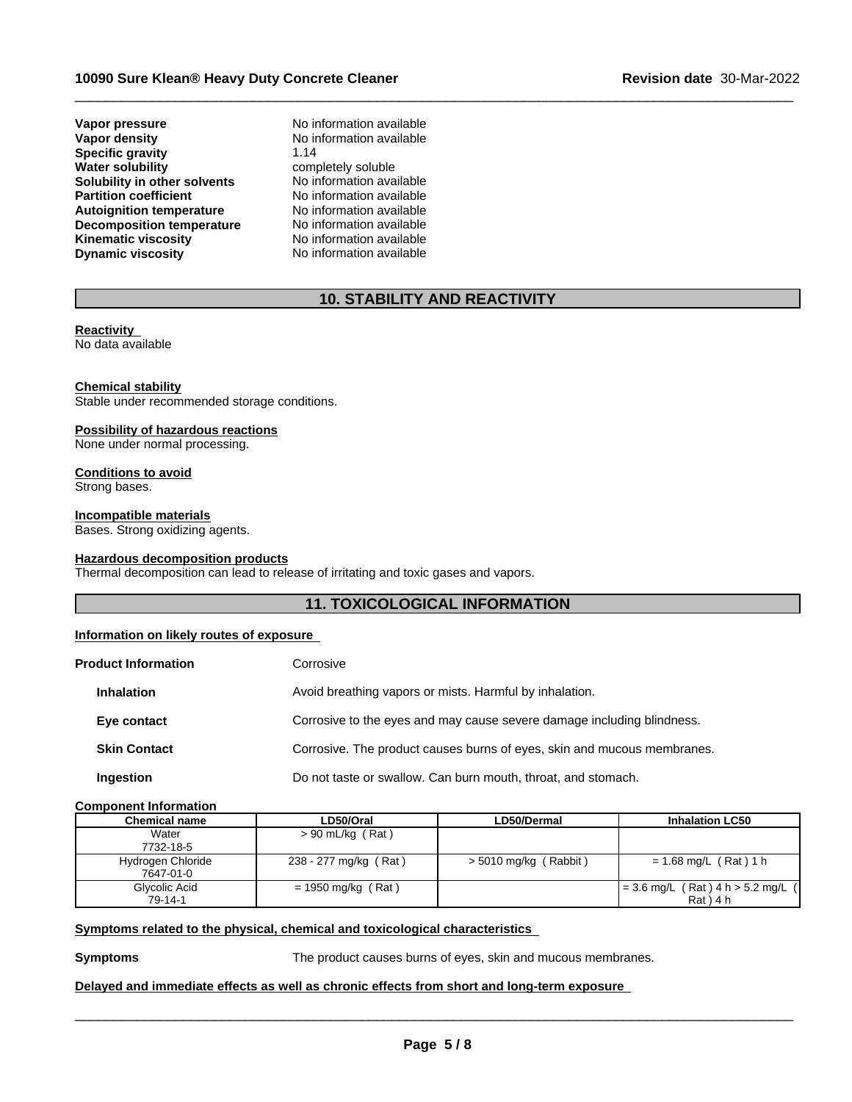**Vapor pressure No information available**<br> **Vapor density No information available Specific gravity**<br>Water solubility **Solubility in other solvents** No information available<br> **Partition coefficient** No information available **Partition coefficient**<br> **Autoignition temperature**<br>
No information available **Autoignition temperature No information available**<br>**Decomposition temperature No information available Decomposition temperature**<br>**Kinematic viscosity Dynamic viscosity** No information available

**No information available**<br>1.14 **completely soluble**<br>No information available **Kinematic viscosity** No information available

# **10. STABILITY AND REACTIVITY**

 $\_$  ,  $\_$  ,  $\_$  ,  $\_$  ,  $\_$  ,  $\_$  ,  $\_$  ,  $\_$  ,  $\_$  ,  $\_$  ,  $\_$  ,  $\_$  ,  $\_$  ,  $\_$  ,  $\_$  ,  $\_$  ,  $\_$  ,  $\_$  ,  $\_$  ,  $\_$  ,  $\_$  ,  $\_$  ,  $\_$  ,  $\_$  ,  $\_$  ,  $\_$  ,  $\_$  ,  $\_$  ,  $\_$  ,  $\_$  ,  $\_$  ,  $\_$  ,  $\_$  ,  $\_$  ,  $\_$  ,  $\_$  ,  $\_$  ,

## **Reactivity**

No data available

#### **Chemical stability**

Stable under recommended storage conditions.

#### **Possibility of hazardous reactions**

None under normal processing.

# **Conditions to avoid**

Strong bases.

## **Incompatible materials**

Bases. Strong oxidizing agents.

#### **Hazardous decomposition products**

Thermal decomposition can lead to release of irritating and toxic gases and vapors.

## **11. TOXICOLOGICAL INFORMATION**

## **Information on likely routes of exposure**

| <b>Product Information</b> | Corrosive                                                               |
|----------------------------|-------------------------------------------------------------------------|
| <b>Inhalation</b>          | Avoid breathing vapors or mists. Harmful by inhalation.                 |
| Eye contact                | Corrosive to the eyes and may cause severe damage including blindness.  |
| <b>Skin Contact</b>        | Corrosive. The product causes burns of eyes, skin and mucous membranes. |
| Ingestion                  | Do not taste or swallow. Can burn mouth, throat, and stomach.           |
|                            |                                                                         |

## **Component Information**

| Chemical name     | LD50/Oral             | LD50/Dermal             | <b>Inhalation LC50</b>              |
|-------------------|-----------------------|-------------------------|-------------------------------------|
| Water             | $> 90$ mL/kg (Rat)    |                         |                                     |
| 7732-18-5         |                       |                         |                                     |
| Hydrogen Chloride | 238 - 277 mg/kg (Rat) | $>$ 5010 mg/kg (Rabbit) | = 1.68 mg/L (Rat) 1 h               |
| 7647-01-0         |                       |                         |                                     |
| Glycolic Acid     | $= 1950$ mg/kg (Rat)  |                         | $= 3.6$ mg/L (Rat) 4 h > 5.2 mg/L ( |
| 79-14-1           |                       |                         | $Rat$ $14h$                         |

## **<u>Symptoms related to the physical, chemical and toxicological characteristics</u>**

**Symptoms** The product causes burns of eyes, skin and mucous membranes.

 $\overline{\phantom{a}}$  ,  $\overline{\phantom{a}}$  ,  $\overline{\phantom{a}}$  ,  $\overline{\phantom{a}}$  ,  $\overline{\phantom{a}}$  ,  $\overline{\phantom{a}}$  ,  $\overline{\phantom{a}}$  ,  $\overline{\phantom{a}}$  ,  $\overline{\phantom{a}}$  ,  $\overline{\phantom{a}}$  ,  $\overline{\phantom{a}}$  ,  $\overline{\phantom{a}}$  ,  $\overline{\phantom{a}}$  ,  $\overline{\phantom{a}}$  ,  $\overline{\phantom{a}}$  ,  $\overline{\phantom{a}}$ 

## **Delayed and immediate effects as well as chronic effects from short and long-term exposure**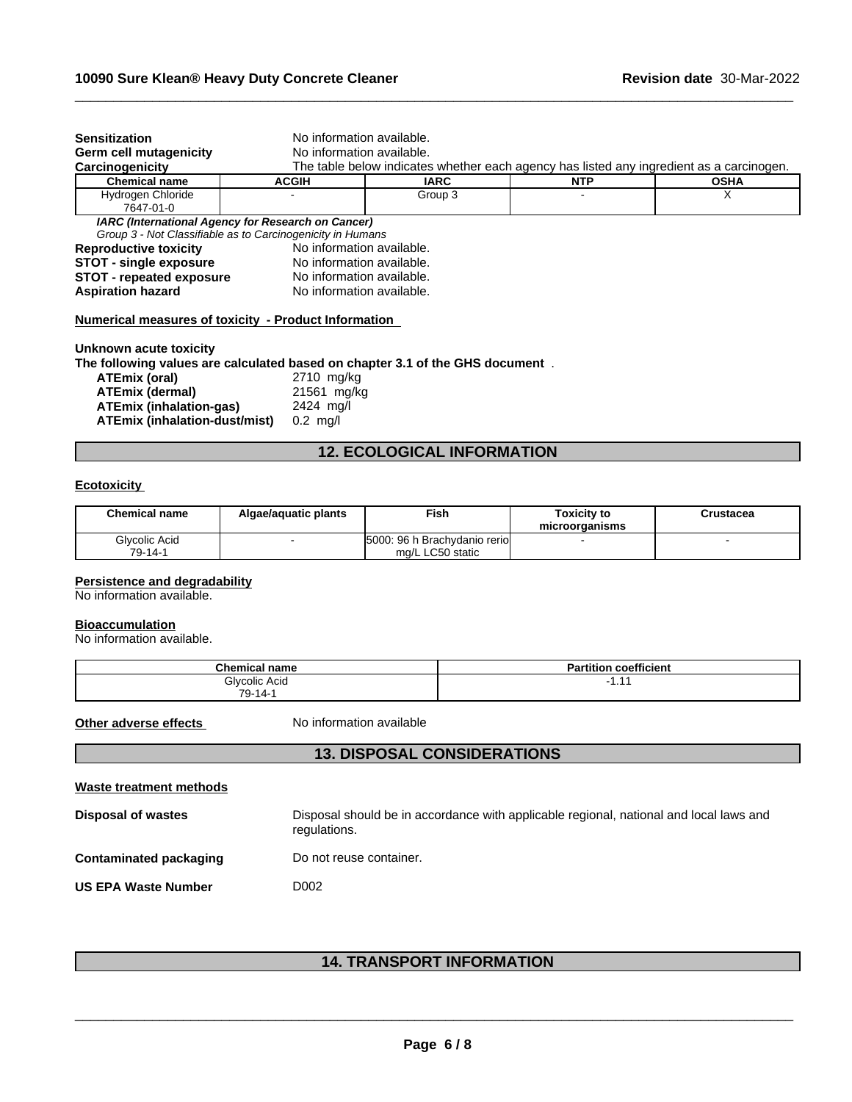| <b>Sensitization</b>                                             | No information available.                                  |                                                                                          |            |             |
|------------------------------------------------------------------|------------------------------------------------------------|------------------------------------------------------------------------------------------|------------|-------------|
| <b>Germ cell mutagenicity</b>                                    | No information available.                                  |                                                                                          |            |             |
| Carcinogenicity                                                  |                                                            | The table below indicates whether each agency has listed any ingredient as a carcinogen. |            |             |
| <b>Chemical name</b>                                             | <b>ACGIH</b>                                               | <b>IARC</b>                                                                              | <b>NTP</b> | <b>OSHA</b> |
| Hydrogen Chloride                                                |                                                            | Group 3                                                                                  |            |             |
| 7647-01-0                                                        |                                                            |                                                                                          |            |             |
|                                                                  | IARC (International Agency for Research on Cancer)         |                                                                                          |            |             |
|                                                                  | Group 3 - Not Classifiable as to Carcinogenicity in Humans |                                                                                          |            |             |
|                                                                  |                                                            |                                                                                          |            |             |
| <b>Reproductive toxicity</b>                                     | No information available.                                  |                                                                                          |            |             |
|                                                                  | No information available.                                  |                                                                                          |            |             |
| <b>STOT - single exposure</b><br><b>STOT - repeated exposure</b> | No information available.                                  |                                                                                          |            |             |

 $\_$  ,  $\_$  ,  $\_$  ,  $\_$  ,  $\_$  ,  $\_$  ,  $\_$  ,  $\_$  ,  $\_$  ,  $\_$  ,  $\_$  ,  $\_$  ,  $\_$  ,  $\_$  ,  $\_$  ,  $\_$  ,  $\_$  ,  $\_$  ,  $\_$  ,  $\_$  ,  $\_$  ,  $\_$  ,  $\_$  ,  $\_$  ,  $\_$  ,  $\_$  ,  $\_$  ,  $\_$  ,  $\_$  ,  $\_$  ,  $\_$  ,  $\_$  ,  $\_$  ,  $\_$  ,  $\_$  ,  $\_$  ,  $\_$  ,

**Unknown acute toxicity**

**The following values are calculated based on chapter 3.1 of the GHS document** .

| ATEmix (oral)                        | 2710 mg/kg         |
|--------------------------------------|--------------------|
| <b>ATEmix (dermal)</b>               | 21561 mg/kg        |
| ATEmix (inhalation-gas)              | 2424 ma/l          |
| <b>ATEmix (inhalation-dust/mist)</b> | $0.2 \text{ ma/l}$ |

# **12. ECOLOGICAL INFORMATION**

## **Ecotoxicity**

| Chemical name | Algae/aquatic plants | Fish                          | Toxicity to<br>microorganisms | Crustacea |
|---------------|----------------------|-------------------------------|-------------------------------|-----------|
| Glycolic Acid |                      | 5000: 96 h Brachydanio reriol |                               |           |
| 79-14-1       |                      | mg/L LC50 static              |                               |           |

#### **Persistence and degradability**

No information available.

#### **Bioaccumulation**

No information available.

| <b>Chemical name</b> | $- - -$<br>coefficient<br>п.<br>Partition |
|----------------------|-------------------------------------------|
| Glvcolic Acid        | -<br>.                                    |
| 79<br>`-14∍∖         |                                           |

**Other adverse effects** No information available

## **13. DISPOSAL CONSIDERATIONS**

| Waste treatment methods       |                                                                                                        |
|-------------------------------|--------------------------------------------------------------------------------------------------------|
| <b>Disposal of wastes</b>     | Disposal should be in accordance with applicable regional, national and local laws and<br>regulations. |
| <b>Contaminated packaging</b> | Do not reuse container.                                                                                |
| <b>US EPA Waste Number</b>    | D002                                                                                                   |

# **14. TRANSPORT INFORMATION**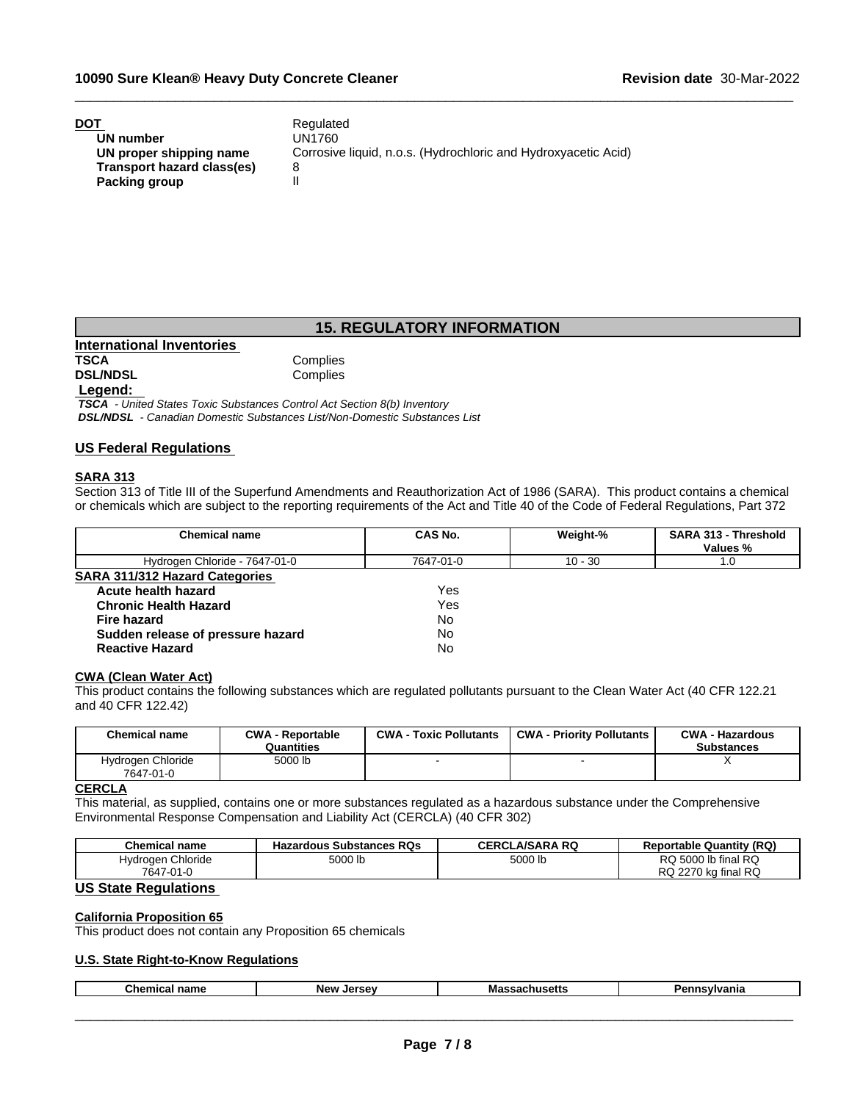| DOT                        | Regulated                                                      |
|----------------------------|----------------------------------------------------------------|
| UN number                  | UN1760                                                         |
| UN proper shipping name    | Corrosive liquid, n.o.s. (Hydrochloric and Hydroxyacetic Acid) |
| Transport hazard class(es) |                                                                |
| Packing group              |                                                                |

## **15. REGULATORY INFORMATION**

 $\_$  ,  $\_$  ,  $\_$  ,  $\_$  ,  $\_$  ,  $\_$  ,  $\_$  ,  $\_$  ,  $\_$  ,  $\_$  ,  $\_$  ,  $\_$  ,  $\_$  ,  $\_$  ,  $\_$  ,  $\_$  ,  $\_$  ,  $\_$  ,  $\_$  ,  $\_$  ,  $\_$  ,  $\_$  ,  $\_$  ,  $\_$  ,  $\_$  ,  $\_$  ,  $\_$  ,  $\_$  ,  $\_$  ,  $\_$  ,  $\_$  ,  $\_$  ,  $\_$  ,  $\_$  ,  $\_$  ,  $\_$  ,  $\_$  ,

**International Inventories DSL/NDSL** 

Complies<br>Complies

#### **Legend:**

 *TSCA - United States Toxic Substances Control Act Section 8(b) Inventory DSL/NDSL - Canadian Domestic Substances List/Non-Domestic Substances List*

#### **US Federal Regulations**

#### **SARA 313**

Section 313 of Title III of the Superfund Amendments and Reauthorization Act of 1986 (SARA). This product contains a chemical or chemicals which are subject to the reporting requirements of the Act and Title 40 of the Code of Federal Regulations, Part 372

| <b>Chemical name</b>                  | CAS No.   | Weight-%  | SARA 313 - Threshold<br>Values % |
|---------------------------------------|-----------|-----------|----------------------------------|
|                                       |           |           |                                  |
| Hydrogen Chloride - 7647-01-0         | 7647-01-0 | $10 - 30$ | 1.0                              |
| <b>SARA 311/312 Hazard Categories</b> |           |           |                                  |
| Acute health hazard                   | Yes       |           |                                  |
| <b>Chronic Health Hazard</b>          | Yes       |           |                                  |
| <b>Fire hazard</b>                    | No        |           |                                  |
| Sudden release of pressure hazard     | No        |           |                                  |
| <b>Reactive Hazard</b>                | No.       |           |                                  |

## **CWA (Clean WaterAct)**

This product contains the following substances which are regulated pollutants pursuant to the Clean Water Act (40 CFR 122.21 and 40 CFR 122.42)

| Chemical name                  | <b>CWA - Reportable</b><br>Quantities | <b>CWA - Toxic Pollutants</b> | <b>CWA - Priority Pollutants</b> | <b>CWA - Hazardous</b><br><b>Substances</b> |
|--------------------------------|---------------------------------------|-------------------------------|----------------------------------|---------------------------------------------|
| Hydrogen Chloride<br>7647-01-0 | 5000 lb                               |                               |                                  |                                             |

#### **CERCLA**

This material, as supplied, contains one or more substances regulated as a hazardous substance under the Comprehensive Environmental Response Compensation and Liability Act (CERCLA) (40 CFR 302)

| <b>Chemical name</b> | <b>Hazardous Substances RQs</b><br>- 40- | .A/SARA RQ<br><b>CERCL</b> | <b>Reportable Quantity (RQ)</b>              |
|----------------------|------------------------------------------|----------------------------|----------------------------------------------|
| Chloride<br>Hvdroaen | FOOO II<br>5000 lb                       | 5000 lb                    | I RQ<br>$5000$ lb final $\sim$<br>RQ         |
| 7647<br>7-01-0       |                                          |                            | <b>RQ</b><br>2270<br>DC.<br>⊧ka final<br>RQ. |

## **US State Regulations**

#### **California Proposition 65**

This product does not contain any Proposition 65 chemicals

## **U.S. State Right-to-Know Regulations**

|  | $\sim$ $\sim$ $\sim$ $\sim$<br>Chemical<br>name | <b>N</b> OU<br>lor.<br>. | ша<br>. | anıa |
|--|-------------------------------------------------|--------------------------|---------|------|
|--|-------------------------------------------------|--------------------------|---------|------|